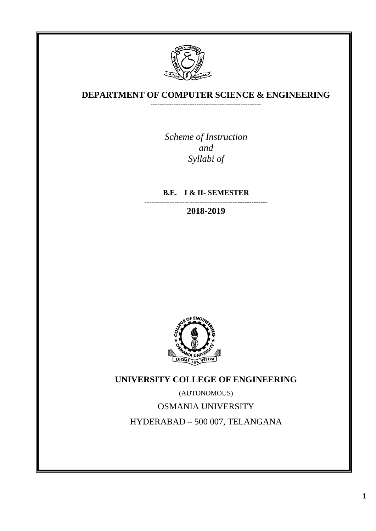

# **DEPARTMENT OF COMPUTER SCIENCE & ENGINEERING**  ------------------------------------------------

*Scheme of Instruction and Syllabi of*

**B.E. I & II- SEMESTER**

**-------------------------------------**------------- **2018-2019**



**UNIVERSITY COLLEGE OF ENGINEERING**

(AUTONOMOUS) OSMANIA UNIVERSITY HYDERABAD – 500 007, TELANGANA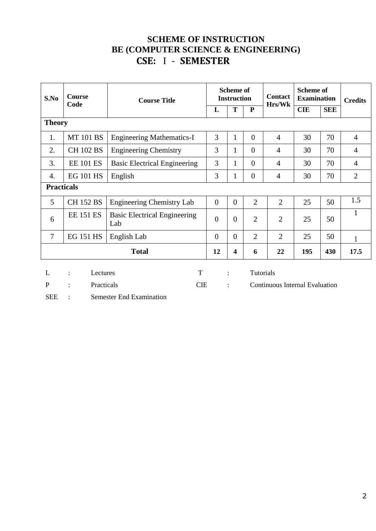# **SCHEME OF INSTRUCTION BE (COMPUTER SCIENCE & ENGINEERING) CSE:** I - **SEMESTER**

| S.No                                                                   | <b>Course</b><br>Code                                                         | <b>Course Title</b>                        | <b>Scheme of</b><br><b>Instruction</b> |                |                  | <b>Contact</b>                 | <b>Scheme of</b><br><b>Examination</b> |            | <b>Credits</b> |
|------------------------------------------------------------------------|-------------------------------------------------------------------------------|--------------------------------------------|----------------------------------------|----------------|------------------|--------------------------------|----------------------------------------|------------|----------------|
|                                                                        |                                                                               |                                            | L                                      | T              | ${\bf P}$        | Hrs/Wk                         | <b>CIE</b>                             | <b>SEE</b> |                |
| <b>Theory</b>                                                          |                                                                               |                                            |                                        |                |                  |                                |                                        |            |                |
| 1.                                                                     | <b>MT 101 BS</b>                                                              | <b>Engineering Mathematics-I</b>           | 3                                      | 1              | $\overline{0}$   | $\overline{4}$                 | 30                                     | 70         | $\overline{4}$ |
| 2.                                                                     | <b>CH 102 BS</b>                                                              | <b>Engineering Chemistry</b>               | 3                                      | 1              | $\overline{0}$   | $\overline{4}$                 | 30                                     | 70         | $\overline{4}$ |
| 3.                                                                     | <b>EE 101 ES</b>                                                              | <b>Basic Electrical Engineering</b>        | 3                                      | 1              | $\overline{0}$   | $\overline{4}$                 | 30                                     | 70         | $\overline{4}$ |
| 4.                                                                     | <b>EG 101 HS</b>                                                              | English                                    | 3                                      | 1              | $\boldsymbol{0}$ | $\overline{4}$                 | 30                                     | 70         | $\overline{2}$ |
|                                                                        | <b>Practicals</b>                                                             |                                            |                                        |                |                  |                                |                                        |            |                |
| 5                                                                      | <b>CH 152 BS</b>                                                              | <b>Engineering Chemistry Lab</b>           | $\overline{0}$                         | $\overline{0}$ | $\overline{2}$   | $\overline{2}$                 | 25                                     | 50         | 1.5            |
| 6                                                                      | <b>EE 151 ES</b>                                                              | <b>Basic Electrical Engineering</b><br>Lab | $\theta$                               | $\overline{0}$ | $\overline{2}$   | $\overline{2}$                 | 25                                     | 50         | 1              |
| $\overline{7}$                                                         | <b>EG 151 HS</b>                                                              | English Lab                                | $\overline{0}$                         | $\overline{0}$ | $\overline{2}$   | $\overline{2}$                 | 25                                     | 50         | $\mathbf{1}$   |
| <b>Total</b><br>12<br>22<br>195<br>430<br>$\overline{\mathbf{4}}$<br>6 |                                                                               |                                            |                                        |                |                  | 17.5                           |                                        |            |                |
| L<br>$\mathbf{P}$                                                      | T<br>Lectures<br>$\ddot{\cdot}$<br>Practicals<br><b>CIE</b><br>$\ddot{\cdot}$ |                                            |                                        | $\ddot{\cdot}$ | Tutorials        | Continuous Internal Evaluation |                                        |            |                |

SEE : Semester End Examination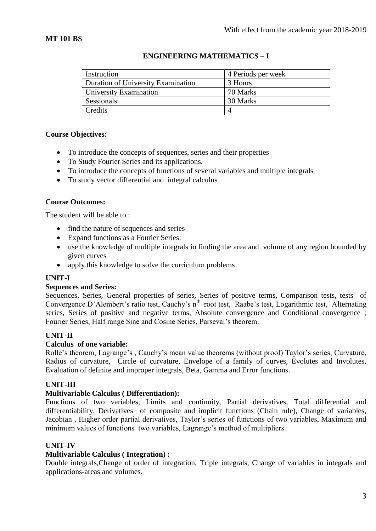| Instruction                        | 4 Periods per week |
|------------------------------------|--------------------|
| Duration of University Examination | 3 Hours            |
| University Examination             | 70 Marks           |
| Sessionals                         | 30 Marks           |
| Credits                            |                    |

# **ENGINEERING MATHEMATICS – I**

# **Course Objectives:**

- To introduce the concepts of sequences, series and their properties
- To Study Fourier Series and its applications.
- To introduce the concepts of functions of several variables and multiple integrals
- To study vector differential and integral calculus

### **Course Outcomes:**

The student will be able to :

- find the nature of sequences and series
- Expand functions as a Fourier Series.
- use the knowledge of multiple integrals in finding the area and volume of any region bounded by given curves
- apply this knowledge to solve the curriculum problems

### **UNIT-I**

### **Sequences and Series:**

Sequences, Series, General properties of series, Series of positive terms, Comparison tests, tests of Convergence D'Alembert's ratio test, Cauchy's n<sup>th</sup> root test, Raabe's test, Logarithmic test, Alternating series, Series of positive and negative terms, Absolute convergence and Conditional convergence ; Fourier Series, Half range Sine and Cosine Series, Parseval's theorem.

# **UNIT-II**

### **Calculus of one variable:**

Rolle's theorem, Lagrange's , Cauchy's mean value theorems (without proof) Taylor's series, Curvature, Radius of curvature, Circle of curvature, Envelope of a family of curves, Evolutes and Involutes, Evaluation of definite and improper integrals, Beta, Gamma and Error functions.

### **UNIT-III**

### **Multivariable Calculus ( Differentiation):**

Functions of two variables, Limits and continuity, Partial derivatives, Total differential and differentiability, Derivatives of composite and implicit functions (Chain rule), Change of variables, Jacobian , Higher order partial derivatives, Taylor's series of functions of two variables, Maximum and minimum values of functions two variables, Lagrange's method of multipliers.

### **UNIT-IV**

### **Multivariable Calculus ( Integration) :**

Double integrals,Change of order of integration, Triple integrals, Change of variables in integrals and applications-areas and volumes.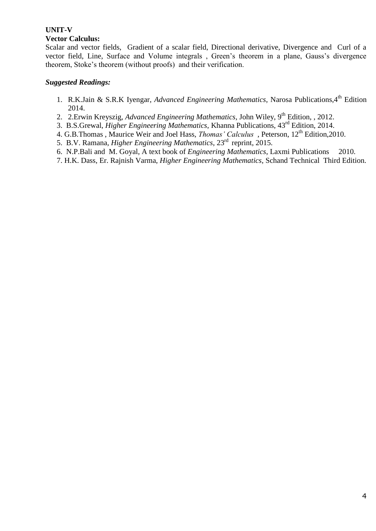#### **UNIT-V Vector Calculus:**

Scalar and vector fields, Gradient of a scalar field, Directional derivative, Divergence and Curl of a vector field, Line, Surface and Volume integrals , Green's theorem in a plane, Gauss's divergence theorem, Stoke's theorem (without proofs) and their verification.

- 1. R.K.Jain & S.R.K Iyengar, *Advanced Engineering Mathematics*, Narosa Publications, 4<sup>th</sup> Edition 2014.
- 2. 2. Erwin Kreyszig, *Advanced Engineering Mathematics*, John Wiley, 9<sup>th</sup> Edition, , 2012.
- 3. B.S.Grewal, *Higher Engineering Mathematics*, Khanna Publications, 43rd Edition, 2014.
- 4. G.B.Thomas, Maurice Weir and Joel Hass, *Thomas' Calculus*, Peterson, 12<sup>th</sup> Edition, 2010.
- 5. B.V. Ramana, *Higher Engineering Mathematics*, 23rd reprint, 2015.
- 6. N.P.Bali and M. Goyal, A text book of *Engineering Mathematics*, Laxmi Publications 2010.
- 7. H.K. Dass, Er. Rajnish Varma, *Higher Engineering Mathematics*, Schand Technical Third Edition.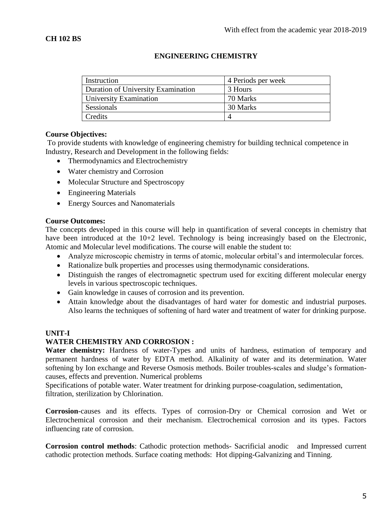| Instruction                        | 4 Periods per week |
|------------------------------------|--------------------|
| Duration of University Examination | 3 Hours            |
| <b>University Examination</b>      | 70 Marks           |
| Sessionals                         | 30 Marks           |
| Credits                            |                    |

# **ENGINEERING CHEMISTRY**

### **Course Objectives:**

To provide students with knowledge of engineering chemistry for building technical competence in Industry, Research and Development in the following fields:

- Thermodynamics and Electrochemistry
- Water chemistry and Corrosion
- Molecular Structure and Spectroscopy
- Engineering Materials
- Energy Sources and Nanomaterials

### **Course Outcomes:**

The concepts developed in this course will help in quantification of several concepts in chemistry that have been introduced at the 10+2 level. Technology is being increasingly based on the Electronic, Atomic and Molecular level modifications. The course will enable the student to:

- Analyze microscopic chemistry in terms of atomic, molecular orbital's and intermolecular forces.
- Rationalize bulk properties and processes using thermodynamic considerations.
- Distinguish the ranges of electromagnetic spectrum used for exciting different molecular energy levels in various spectroscopic techniques.
- Gain knowledge in causes of corrosion and its prevention.
- Attain knowledge about the disadvantages of hard water for domestic and industrial purposes. Also learns the techniques of softening of hard water and treatment of water for drinking purpose.

# **UNIT-I**

# **WATER CHEMISTRY AND CORROSION :**

Water chemistry: Hardness of water-Types and units of hardness, estimation of temporary and permanent hardness of water by EDTA method. Alkalinity of water and its determination. Water softening by Ion exchange and Reverse Osmosis methods. Boiler troubles-scales and sludge's formationcauses, effects and prevention. Numerical problems

Specifications of potable water. Water treatment for drinking purpose-coagulation, sedimentation, filtration, sterilization by Chlorination.

**Corrosion**-causes and its effects. Types of corrosion-Dry or Chemical corrosion and Wet or Electrochemical corrosion and their mechanism. Electrochemical corrosion and its types. Factors influencing rate of corrosion.

**Corrosion control methods**: Cathodic protection methods- Sacrificial anodic and Impressed current cathodic protection methods. Surface coating methods: Hot dipping-Galvanizing and Tinning.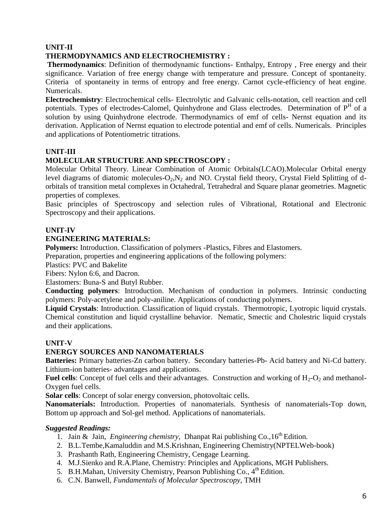# **UNIT-II**

# **THERMODYNAMICS AND ELECTROCHEMISTRY :**

**Thermodynamics**: Definition of thermodynamic functions- Enthalpy, Entropy , Free energy and their significance. Variation of free energy change with temperature and pressure. Concept of spontaneity. Criteria of spontaneity in terms of entropy and free energy. Carnot cycle-efficiency of heat engine. Numericals.

**Electrochemistry**: Electrochemical cells- Electrolytic and Galvanic cells-notation, cell reaction and cell potentials. Types of electrodes-Calomel, Quinhydrone and Glass electrodes. Determination of P<sup>H</sup> of a solution by using Quinhydrone electrode. Thermodynamics of emf of cells- Nernst equation and its derivation. Application of Nernst equation to electrode potential and emf of cells. Numericals. Principles and applications of Potentiometric titrations.

# **UNIT-III**

# **MOLECULAR STRUCTURE AND SPECTROSCOPY :**

Molecular Orbital Theory. Linear Combination of Atomic Orbitals(LCAO).Molecular Orbital energy level diagrams of diatomic molecules- $O_2$ ,  $N_2$  and NO. Crystal field theory, Crystal Field Splitting of dorbitals of transition metal complexes in Octahedral, Tetrahedral and Square planar geometries. Magnetic properties of complexes.

Basic principles of Spectroscopy and selection rules of Vibrational, Rotational and Electronic Spectroscopy and their applications.

# **UNIT-IV**

# **ENGINEERING MATERIALS:**

**Polymers:** Introduction. Classification of polymers -Plastics, Fibres and Elastomers.

Preparation, properties and engineering applications of the following polymers:

Plastics: PVC and Bakelite

Fibers: Nylon 6:6, and Dacron.

Elastomers: Buna-S and Butyl Rubber.

**Conducting polymers**: Introduction. Mechanism of conduction in polymers. Intrinsic conducting polymers: Poly-acetylene and poly-aniline. Applications of conducting polymers.

**Liquid Crystals**: Introduction. Classification of liquid crystals. Thermotropic, Lyotropic liquid crystals. Chemical constitution and liquid crystalline behavior. Nematic, Smectic and Cholestric liquid crystals and their applications.

# **UNIT-V**

# **ENERGY SOURCES AND NANOMATERIALS**

**Batteries:** Primary batteries-Zn carbon battery. Secondary batteries-Pb- Acid battery and Ni-Cd battery. Lithium-ion batteries- advantages and applications.

**Fuel cells**: Concept of fuel cells and their advantages. Construction and working of  $H_2-O_2$  and methanol-Oxygen fuel cells.

**Solar cells**: Concept of solar energy conversion, photovoltaic cells.

**Nanomaterials:** Introduction. Properties of nanomaterials. Synthesis of nanomaterials-Top down, Bottom up approach and Sol-gel method. Applications of nanomaterials.

- 1. Jain & Jain, *Engineering chemistry*, Dhanpat Rai publishing Co., 16<sup>th</sup> Edition.
- 2. B.L.Tembe,Kamaluddin and M.S.Krishnan, Engineering Chemistry(NPTELWeb-book)
- 3. Prashanth Rath, Engineering Chemistry, Cengage Learning.
- 4. M.J.Sienko and R.A.Plane, Chemistry: Principles and Applications, MGH Publishers.
- 5. B.H.Mahan, University Chemistry, Pearson Publishing Co., 4<sup>th</sup> Edition.
- 6. C.N. Banwell, *Fundamentals of Molecular Spectroscopy*, TMH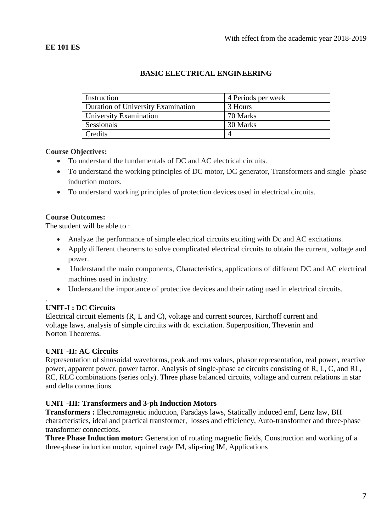| Instruction                        | 4 Periods per week |
|------------------------------------|--------------------|
| Duration of University Examination | 3 Hours            |
| University Examination             | 70 Marks           |
| Sessionals                         | 30 Marks           |
| Credits                            |                    |

### **BASIC ELECTRICAL ENGINEERING**

### **Course Objectives:**

- To understand the fundamentals of DC and AC electrical circuits.
- To understand the working principles of DC motor, DC generator, Transformers and single phase induction motors.
- To understand working principles of protection devices used in electrical circuits.

### **Course Outcomes:**

The student will be able to :

- Analyze the performance of simple electrical circuits exciting with Dc and AC excitations.
- Apply different theorems to solve complicated electrical circuits to obtain the current, voltage and power.
- Understand the main components, Characteristics, applications of different DC and AC electrical machines used in industry.
- Understand the importance of protective devices and their rating used in electrical circuits.

#### . **UNIT-I : DC Circuits**

Electrical circuit elements (R, L and C), voltage and current sources, Kirchoff current and voltage laws, analysis of simple circuits with dc excitation. Superposition, Thevenin and Norton Theorems.

# **UNIT -II: AC Circuits**

Representation of sinusoidal waveforms, peak and rms values, phasor representation, real power, reactive power, apparent power, power factor. Analysis of single-phase ac circuits consisting of R, L, C, and RL, RC, RLC combinations (series only). Three phase balanced circuits, voltage and current relations in star and delta connections.

### **UNIT -III: Transformers and 3-ph Induction Motors**

**Transformers :** Electromagnetic induction, Faradays laws, Statically induced emf, Lenz law, BH characteristics, ideal and practical transformer, losses and efficiency, Auto-transformer and three-phase transformer connections.

**Three Phase Induction motor:** Generation of rotating magnetic fields, Construction and working of a three-phase induction motor, squirrel cage IM, slip-ring IM, Applications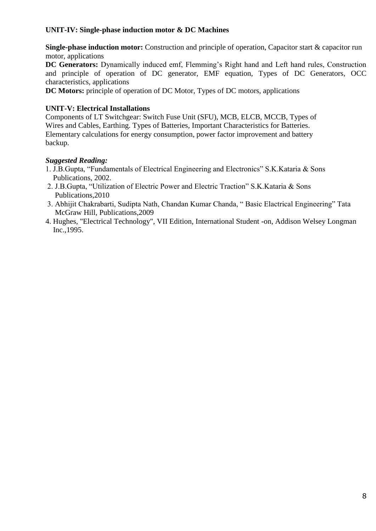# **UNIT-IV: Single-phase induction motor & DC Machines**

**Single-phase induction motor:** Construction and principle of operation, Capacitor start & capacitor run motor, applications

**DC Generators:** Dynamically induced emf, Flemming's Right hand and Left hand rules, Construction and principle of operation of DC generator, EMF equation, Types of DC Generators, OCC characteristics, applications

**DC Motors:** principle of operation of DC Motor, Types of DC motors, applications

# **UNIT-V: Electrical Installations**

Components of LT Switchgear: Switch Fuse Unit (SFU), MCB, ELCB, MCCB, Types of Wires and Cables, Earthing. Types of Batteries, Important Characteristics for Batteries. Elementary calculations for energy consumption, power factor improvement and battery backup.

- 1. J.B.Gupta, "Fundamentals of Electrical Engineering and Electronics" S.K.Kataria & Sons Publications, 2002.
- 2. J.B.Gupta, "Utilization of Electric Power and Electric Traction" S.K.Kataria & Sons Publications,2010
- 3. Abhijit Chakrabarti, Sudipta Nath, Chandan Kumar Chanda, " Basic Elactrical Engineering" Tata McGraw Hill, Publications,2009
- 4. Hughes, "Electrical Technology", VII Edition, International Student -on, Addison Welsey Longman Inc.,1995.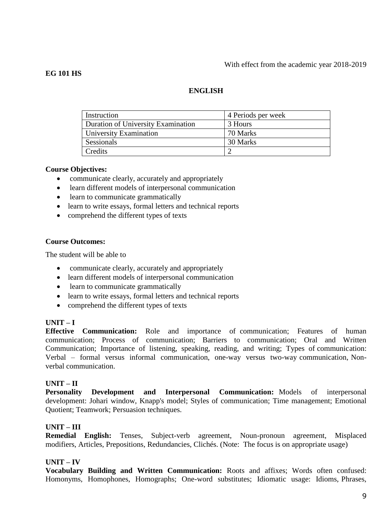#### With effect from the academic year 2018-2019

### **EG 101 HS**

# **ENGLISH**

| Instruction                        | 4 Periods per week |
|------------------------------------|--------------------|
| Duration of University Examination | 3 Hours            |
| University Examination             | 70 Marks           |
| Sessionals                         | 30 Marks           |
| Credits                            |                    |

### **Course Objectives:**

- communicate clearly, accurately and appropriately
- learn different models of interpersonal communication
- learn to communicate grammatically
- learn to write essays, formal letters and technical reports
- comprehend the different types of texts

### **Course Outcomes:**

The student will be able to

- communicate clearly, accurately and appropriately
- learn different models of interpersonal communication
- learn to communicate grammatically
- learn to write essays, formal letters and technical reports
- comprehend the different types of texts

### **UNIT – I**

**Effective Communication:** Role and importance of communication; Features of human communication; Process of communication; Barriers to communication; Oral and Written Communication; Importance of listening, speaking, reading, and writing; Types of communication: Verbal – formal versus informal communication, one-way versus two-way communication, Nonverbal communication.

### **UNIT – II**

**Personality Development and Interpersonal Communication:** Models of interpersonal development: Johari window, Knapp's model; Styles of communication; Time management; Emotional Quotient; Teamwork; Persuasion techniques.

# **UNIT – III**

**Remedial English:** Tenses, Subject-verb agreement, Noun-pronoun agreement, Misplaced modifiers, Articles, Prepositions, Redundancies, Clichés. (Note: The focus is on appropriate usage)

### **UNIT – IV**

**Vocabulary Building and Written Communication:** Roots and affixes; Words often confused: Homonyms, Homophones, Homographs; One-word substitutes; Idiomatic usage: Idioms, Phrases,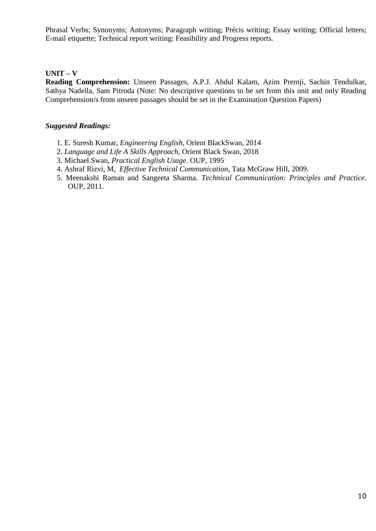Phrasal Verbs; Synonyms; Antonyms; Paragraph writing; Précis writing; Essay writing; Official letters; E-mail etiquette; Technical report writing: Feasibility and Progress reports.

# **UNIT – V**

**Reading Comprehension:** Unseen Passages, A.P.J. Abdul Kalam, Azim Premji, Sachin Tendulkar, Sathya Nadella, Sam Pitroda (Note: No descriptive questions to be set from this unit and only Reading Comprehension/s from unseen passages should be set in the Examination Question Papers)

- 1. E. Suresh Kumar, *Engineering English*, Orient BlackSwan, 2014
- 2. *Language and Life A Skills Approach*, Orient Black Swan, 2018
- 3. Michael Swan, *Practical English Usage*. OUP, 1995
- 4. Ashraf Rizvi, M, *Effective Technical Communication*, Tata McGraw Hill, 2009.
- 5. Meenakshi Raman and Sangeeta Sharma. *Technical Communication: Principles and Practice*. OUP, 2011.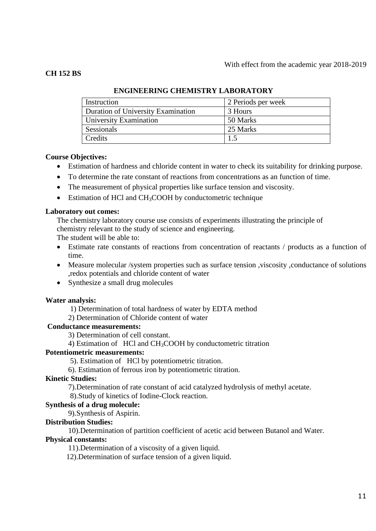### **CH 152 BS**

| Instruction                        | 2 Periods per week |
|------------------------------------|--------------------|
| Duration of University Examination | 3 Hours            |
| University Examination             | 50 Marks           |
| Sessionals                         | 25 Marks           |
| Credits                            | 1.5                |

# **ENGINEERING CHEMISTRY LABORATORY**

### **Course Objectives:**

- Estimation of hardness and chloride content in water to check its suitability for drinking purpose.
- To determine the rate constant of reactions from concentrations as an function of time.
- The measurement of physical properties like surface tension and viscosity.
- $\bullet$  Estimation of HCl and CH<sub>3</sub>COOH by conductometric technique

### **Laboratory out comes:**

The chemistry laboratory course use consists of experiments illustrating the principle of chemistry relevant to the study of science and engineering.

The student will be able to:

- Estimate rate constants of reactions from concentration of reactants / products as a function of time.
- Measure molecular /system properties such as surface tension ,viscosity ,conductance of solutions ,redox potentials and chloride content of water
- Synthesize a small drug molecules

### **Water analysis:**

1) Determination of total hardness of water by EDTA method

2) Determination of Chloride content of water

### **Conductance measurements:**

3) Determination of cell constant.

4) Estimation of HCl and CH3COOH by conductometric titration

### **Potentiometric measurements:**

5). Estimation of HCl by potentiometric titration.

6). Estimation of ferrous iron by potentiometric titration.

### **Kinetic Studies:**

7).Determination of rate constant of acid catalyzed hydrolysis of methyl acetate.

8).Study of kinetics of Iodine-Clock reaction.

# **Synthesis of a drug molecule:**

9).Synthesis of Aspirin.

### **Distribution Studies:**

10).Determination of partition coefficient of acetic acid between Butanol and Water.

### **Physical constants:**

11).Determination of a viscosity of a given liquid.

12).Determination of surface tension of a given liquid.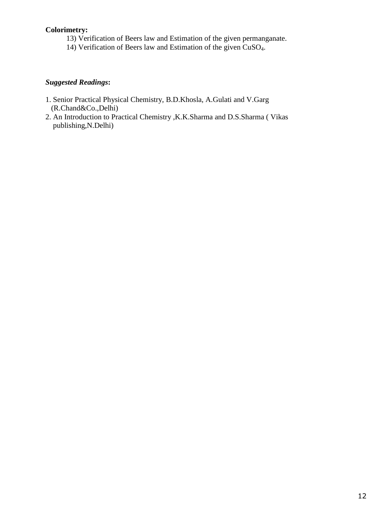### **Colorimetry:**

- 13) Verification of Beers law and Estimation of the given permanganate.
- 14) Verification of Beers law and Estimation of the given CuSO4.

- 1. Senior Practical Physical Chemistry, B.D.Khosla, A.Gulati and V.Garg (R.Chand&Co.,Delhi)
- 2. An Introduction to Practical Chemistry ,K.K.Sharma and D.S.Sharma ( Vikas publishing,N.Delhi)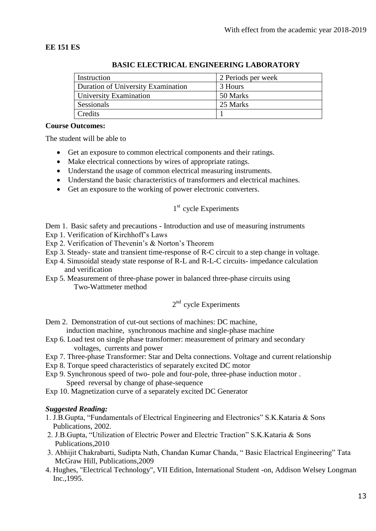# **EE 151 ES**

| Instruction                        | 2 Periods per week |
|------------------------------------|--------------------|
| Duration of University Examination | 3 Hours            |
| University Examination             | 50 Marks           |
| Sessionals                         | 25 Marks           |
| Credits                            |                    |

### **BASIC ELECTRICAL ENGINEERING LABORATORY**

#### **Course Outcomes:**

The student will be able to

- Get an exposure to common electrical components and their ratings.
- Make electrical connections by wires of appropriate ratings.
- Understand the usage of common electrical measuring instruments.
- Understand the basic characteristics of transformers and electrical machines.
- Get an exposure to the working of power electronic converters.

# 1<sup>st</sup> cycle Experiments

Dem 1. Basic safety and precautions - Introduction and use of measuring instruments

- Exp 1. Verification of Kirchhoff's Laws
- Exp 2. Verification of Thevenin's & Norton's Theorem
- Exp 3. Steady- state and transient time-response of R-C circuit to a step change in voltage.
- Exp 4. Sinusoidal steady state response of R-L and R-L-C circuits- impedance calculation and verification
- Exp 5. Measurement of three-phase power in balanced three-phase circuits using Two-Wattmeter method

# 2<sup>nd</sup> cycle Experiments

Dem 2. Demonstration of cut-out sections of machines: DC machine, induction machine, synchronous machine and single-phase machine

- Exp 6. Load test on single phase transformer: measurement of primary and secondary voltages, currents and power
- Exp 7. Three-phase Transformer: Star and Delta connections. Voltage and current relationship
- Exp 8. Torque speed characteristics of separately excited DC motor
- Exp 9. Synchronous speed of two- pole and four-pole, three-phase induction motor . Speed reversal by change of phase-sequence
- Exp 10. Magnetization curve of a separately excited DC Generator

- 1. J.B.Gupta, "Fundamentals of Electrical Engineering and Electronics" S.K.Kataria & Sons Publications, 2002.
- 2. J.B.Gupta, "Utilization of Electric Power and Electric Traction" S.K.Kataria & Sons Publications,2010
- 3. Abhijit Chakrabarti, Sudipta Nath, Chandan Kumar Chanda, " Basic Elactrical Engineering" Tata McGraw Hill, Publications,2009
- 4. Hughes, "Electrical Technology", VII Edition, International Student -on, Addison Welsey Longman Inc.,1995.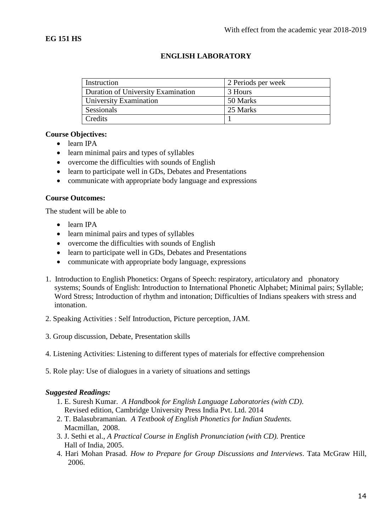# **ENGLISH LABORATORY**

| Instruction                        | 2 Periods per week |
|------------------------------------|--------------------|
| Duration of University Examination | 3 Hours            |
| University Examination             | 50 Marks           |
| Sessionals                         | 25 Marks           |
| Credits                            |                    |

### **Course Objectives:**

- learn IPA
- learn minimal pairs and types of syllables
- overcome the difficulties with sounds of English
- learn to participate well in GDs, Debates and Presentations
- communicate with appropriate body language and expressions

### **Course Outcomes:**

The student will be able to

- learn IPA
- learn minimal pairs and types of syllables
- overcome the difficulties with sounds of English
- learn to participate well in GDs, Debates and Presentations
- communicate with appropriate body language, expressions
- 1. Introduction to English Phonetics: Organs of Speech: respiratory, articulatory and phonatory systems; Sounds of English: Introduction to International Phonetic Alphabet; Minimal pairs; Syllable; Word Stress; Introduction of rhythm and intonation; Difficulties of Indians speakers with stress and intonation.
- 2. Speaking Activities : Self Introduction, Picture perception, JAM.
- 3. Group discussion, Debate, Presentation skills
- 4. Listening Activities: Listening to different types of materials for effective comprehension
- 5. Role play: Use of dialogues in a variety of situations and settings

- 1. E. Suresh Kumar. *A Handbook for English Language Laboratories (with CD)*. Revised edition, Cambridge University Press India Pvt. Ltd. 2014
- 2. T. Balasubramanian*. A Textbook of English Phonetics for Indian Students.* Macmillan, 2008.
- 3. J. Sethi et al., *A Practical Course in English Pronunciation (with CD).* Prentice Hall of India, 2005.
- 4. Hari Mohan Prasad*. How to Prepare for Group Discussions and Interviews*. Tata McGraw Hill, 2006.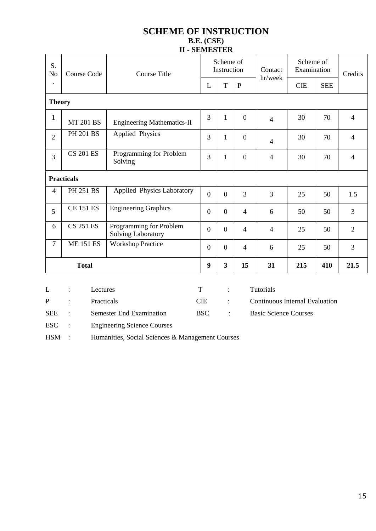# **SCHEME OF INSTRUCTION B.E. (CSE) II - SEMESTER**

| S.<br>N <sub>o</sub> | <b>Course Code</b> |                  | <b>Course Title</b>                                  |                  | Scheme of<br>Instruction |                                       | Contact<br>hr/week           | Scheme of<br>Examination |            | Credits        |
|----------------------|--------------------|------------------|------------------------------------------------------|------------------|--------------------------|---------------------------------------|------------------------------|--------------------------|------------|----------------|
| $\ddot{\phantom{0}}$ |                    |                  |                                                      | L                | T                        | $\mathbf P$                           |                              | <b>CIE</b>               | <b>SEE</b> |                |
| <b>Theory</b>        |                    |                  |                                                      |                  |                          |                                       |                              |                          |            |                |
| $\mathbf{1}$         |                    | <b>MT 201 BS</b> | <b>Engineering Mathematics-II</b>                    | 3                | 1                        | $\mathbf{0}$                          | $\overline{4}$               | 30                       | 70         | $\overline{4}$ |
| $\overline{2}$       |                    | <b>PH 201 BS</b> | Applied Physics                                      | 3                | 1                        | $\overline{0}$                        | $\overline{4}$               | 30                       | 70         | $\overline{4}$ |
| $\overline{3}$       | <b>CS 201 ES</b>   |                  | Programming for Problem<br>Solving                   | 3                | $\mathbf{1}$             | $\boldsymbol{0}$                      | $\overline{4}$               | 30                       | 70         | $\overline{4}$ |
| <b>Practicals</b>    |                    |                  |                                                      |                  |                          |                                       |                              |                          |            |                |
| $\overline{4}$       |                    | <b>PH 251 BS</b> | Applied Physics Laboratory                           | $\overline{0}$   | $\mathbf{0}$             | 3                                     | 3                            | 25                       | 50         | 1.5            |
| 5                    | <b>CE 151 ES</b>   |                  | <b>Engineering Graphics</b>                          | $\overline{0}$   | $\overline{0}$           | $\overline{4}$                        | 6                            | 50                       | 50         | 3              |
| 6                    | <b>CS 251 ES</b>   |                  | Programming for Problem<br><b>Solving Laboratory</b> | $\boldsymbol{0}$ | $\boldsymbol{0}$         | $\overline{4}$                        | $\overline{4}$               | 25                       | 50         | $\overline{2}$ |
| $\overline{7}$       |                    | <b>ME 151 ES</b> | <b>Workshop Practice</b>                             | $\overline{0}$   | $\theta$                 | $\overline{4}$                        | 6                            | 25                       | 50         | 3              |
| <b>Total</b>         |                    | 9                | $\mathbf{3}$                                         | 15               | 31                       | 215                                   | 410                          | 21.5                     |            |                |
|                      |                    |                  |                                                      |                  |                          |                                       |                              |                          |            |                |
| L                    |                    | Lectures         |                                                      | $\mathbf T$      | $\ddot{\cdot}$           |                                       | Tutorials                    |                          |            |                |
| $\mathbf P$          | Practicals         |                  | <b>CIE</b>                                           | $\ddot{\cdot}$   |                          | <b>Continuous Internal Evaluation</b> |                              |                          |            |                |
| <b>SEE</b>           |                    |                  | <b>Semester End Examination</b>                      | <b>BSC</b>       | $\ddot{\cdot}$           |                                       | <b>Basic Science Courses</b> |                          |            |                |
| <b>ESC</b>           |                    |                  | <b>Engineering Science Courses</b>                   |                  |                          |                                       |                              |                          |            |                |

HSM : Humanities, Social Sciences & Management Courses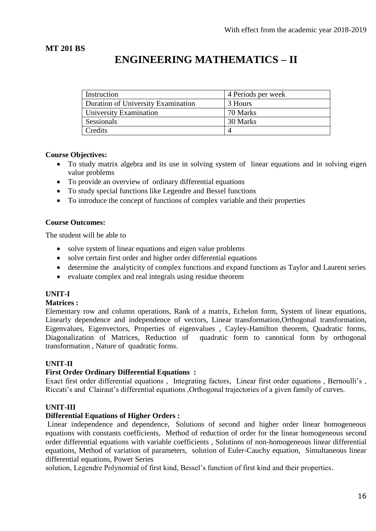# **MT 201 BS**

# **ENGINEERING MATHEMATICS – II**

| Instruction                        | 4 Periods per week |
|------------------------------------|--------------------|
| Duration of University Examination | 3 Hours            |
| University Examination             | 70 Marks           |
| Sessionals                         | 30 Marks           |
| Credits                            |                    |

# **Course Objectives:**

- To study matrix algebra and its use in solving system of linear equations and in solving eigen value problems
- To provide an overview of ordinary differential equations
- To study special functions like Legendre and Bessel functions
- To introduce the concept of functions of complex variable and their properties

### **Course Outcomes:**

The student will be able to

- solve system of linear equations and eigen value problems
- solve certain first order and higher order differential equations
- determine the analyticity of complex functions and expand functions as Taylor and Laurent series
- evaluate complex and real integrals using residue theorem

# **UNIT-I**

### **Matrices :**

Elementary row and column operations, Rank of a matrix, Echelon form, System of linear equations, Linearly dependence and independence of vectors, Linear transformation,Orthogonal transformation, Eigenvalues, Eigenvectors, Properties of eigenvalues , Cayley-Hamilton theorem, Quadratic forms, Diagonalization of Matrices, Reduction of quadratic form to canonical form by orthogonal transformation , Nature of quadratic forms.

# **UNIT-II**

# **First Order Ordinary Differential Equations :**

Exact first order differential equations , Integrating factors, Linear first order equations , Bernoulli's , Riccati's and Clairaut's differential equations ,Orthogonal trajectories of a given family of curves.

# **UNIT-III**

### **Differential Equations of Higher Orders :**

Linear independence and dependence, Solutions of second and higher order linear homogeneous equations with constants coefficients, Method of reduction of order for the linear homogeneous second order differential equations with variable coefficients , Solutions of non-homogeneous linear differential equations, Method of variation of parameters, solution of Euler-Cauchy equation, Simultaneous linear differential equations, Power Series

solution, Legendre Polynomial of first kind, Bessel's function of first kind and their properties.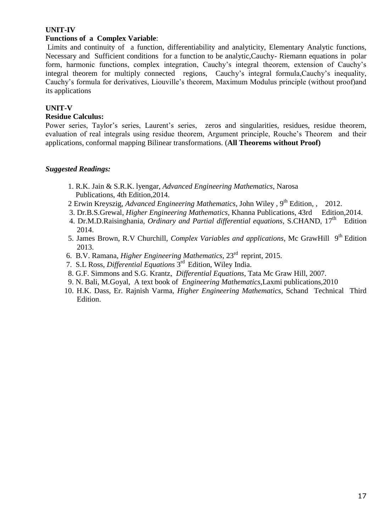### **UNIT-IV**

### **Functions of a Complex Variable**:

Limits and continuity of a function, differentiability and analyticity, Elementary Analytic functions, Necessary and Sufficient conditions for a function to be analytic,Cauchy- Riemann equations in polar form, harmonic functions, complex integration, Cauchy's integral theorem, extension of Cauchy's integral theorem for multiply connected regions, Cauchy's integral formula,Cauchy's inequality, Cauchy's formula for derivatives, Liouville's theorem, Maximum Modulus principle (without proof)and its applications

### **UNIT-V**

### **Residue Calculus:**

Power series, Taylor's series, Laurent's series, zeros and singularities, residues, residue theorem, evaluation of real integrals using residue theorem, Argument principle, Rouche's Theorem and their applications, conformal mapping Bilinear transformations. (**All Theorems without Proof)**

- 1. R.K. Jain & S.R.K. lyengar, *Advanced Engineering Mathematics*, Narosa Publications, 4th Edition,2014.
- 2 Erwin Kreyszig, *Advanced Engineering Mathematics*, John Wiley, 9<sup>th</sup> Edition, , 2012.
- 3. Dr.B.S.Grewal*, Higher Engineering Mathematics*, Khanna Publications, 43rd Edition,2014.
- 4. Dr.M.D.Raisinghania, *Ordinary and Partial differential equations*, S.CHAND, 17<sup>th</sup> Edition 2014.
- 5. James Brown, R.V Churchill, *Complex Variables and applications*, Mc GrawHill 9<sup>th</sup> Edition 2013.
	- 6. B.V. Ramana, *Higher Engineering Mathematics*, 23rd reprint, 2015.
- 7. S.L Ross, *Differential Equations* 3 rd Edition, Wiley India.
	- 8. G.F. Simmons and S.G. Krantz*, Differential Equations*, Tata Mc Graw Hill, 2007.
	- 9. N. Bali, M.Goyal, A text book of *Engineering Mathematics*,Laxmi publications,2010
	- 10. H.K. Dass, Er. Rajnish Varma, *Higher Engineering Mathematics*, Schand Technical Third Edition.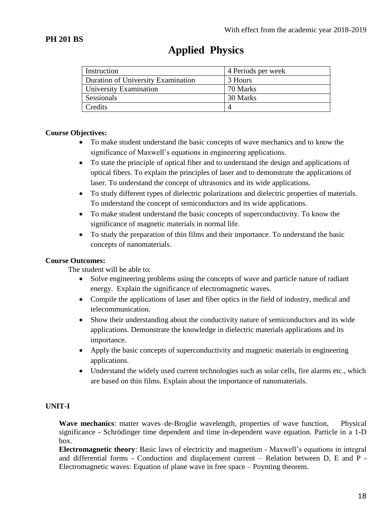| Instruction                        | 4 Periods per week |
|------------------------------------|--------------------|
| Duration of University Examination | 3 Hours            |
| University Examination             | 70 Marks           |
| Sessionals                         | 30 Marks           |
| Credits                            |                    |

# **Applied Physics**

# **Course Objectives:**

- To make student understand the basic concepts of wave mechanics and to know the significance of Maxwell's equations in engineering applications.
- To state the principle of optical fiber and to understand the design and applications of optical fibers. To explain the principles of laser and to demonstrate the applications of laser. To understand the concept of ultrasonics and its wide applications.
- To study different types of dielectric polarizations and dielectric properties of materials. To understand the concept of semiconductors and its wide applications.
- To make student understand the basic concepts of superconductivity. To know the significance of magnetic materials in normal life.
- To study the preparation of thin films and their importance. To understand the basic concepts of nanomaterials.

# **Course Outcomes:**

The student will be able to:

- Solve engineering problems using the concepts of wave and particle nature of radiant energy. Explain the significance of electromagnetic waves.
- Compile the applications of laser and fiber optics in the field of industry, medical and telecommunication.
- Show their understanding about the conductivity nature of semiconductors and its wide applications. Demonstrate the knowledge in dielectric materials applications and its importance.
- Apply the basic concepts of superconductivity and magnetic materials in engineering applications.
- Understand the widely used current technologies such as solar cells, fire alarms etc., which are based on thin films. Explain about the importance of nanomaterials.

# **UNIT-I**

**Wave mechanics**: matter waves–de-Broglie wavelength, properties of wave function, Physical significance - Schrödinger time dependent and time in-dependent wave equation. Particle in a 1-D box.

**Electromagnetic theory**: Basic laws of electricity and magnetism - Maxwell's equations in integral and differential forms - Conduction and displacement current – Relation between D, E and P - Electromagnetic waves: Equation of plane wave in free space – Poynting theorem.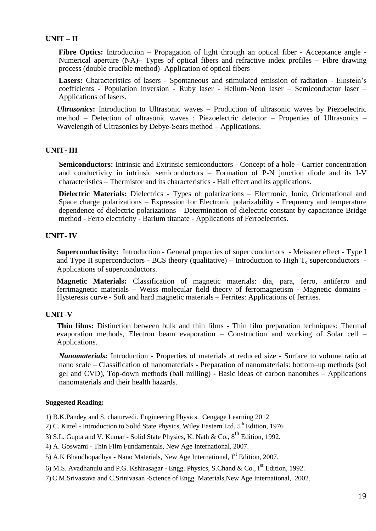# **UNIT – II**

Fibre Optics: Introduction – Propagation of light through an optical fiber - Acceptance angle -Numerical aperture (NA)– Types of optical fibers and refractive index profiles – Fibre drawing process (double crucible method)- Application of optical fibers

**Lasers:** Characteristics of lasers - Spontaneous and stimulated emission of radiation - Einstein's coefficients - Population inversion - Ruby laser - Helium-Neon laser – Semiconductor laser – Applications of lasers.

*Ultrasonics***:** Introduction to Ultrasonic waves – Production of ultrasonic waves by Piezoelectric method – Detection of ultrasonic waves : Piezoelectric detector – Properties of Ultrasonics – Wavelength of Ultrasonics by Debye-Sears method – Applications.

### **UNIT- III**

**Semiconductors:** Intrinsic and Extrinsic semiconductors - Concept of a hole - Carrier concentration and conductivity in intrinsic semiconductors – Formation of P-N junction diode and its I-V characteristics – Thermistor and its characteristics - Hall effect and its applications.

**Dielectric Materials:** Dielectrics - Types of polarizations – Electronic, Ionic, Orientational and Space charge polarizations – Expression for Electronic polarizability - Frequency and temperature dependence of dielectric polarizations - Determination of dielectric constant by capacitance Bridge method - Ferro electricity - Barium titanate - Applications of Ferroelectrics.

### **UNIT- IV**

**Superconductivity:**Introduction - General properties of super conductors - Meissner effect - Type I and Type II superconductors - BCS theory (qualitative) – Introduction to High  $T_c$  superconductors -Applications of superconductors.

**Magnetic Materials:** Classification of magnetic materials: dia, para, ferro, antiferro and ferrimagnetic materials – Weiss molecular field theory of ferromagnetism - Magnetic domains - Hysteresis curve - Soft and hard magnetic materials – Ferrites: Applications of ferrites.

### **UNIT-V**

**Thin films:** Distinction between bulk and thin films - Thin film preparation techniques: Thermal evaporation methods, Electron beam evaporation – Construction and working of Solar cell – Applications.

*Nanomaterials:* Introduction - Properties of materials at reduced size - Surface to volume ratio at nano scale – Classification of nanomaterials - Preparation of nanomaterials: bottom–up methods (sol gel and CVD), Top-down methods (ball milling) - Basic ideas of carbon nanotubes – Applications nanomaterials and their health hazards.

#### **Suggested Reading:**

1) B.K.Pandey and S. chaturvedi. Engineering Physics. Cengage Learning 2012

2) C. Kittel - Introduction to Solid State Physics, Wiley Eastern Ltd.  $5<sup>th</sup>$  Edition, 1976

3) S.L. Gupta and V. Kumar - Solid State Physics, K. Nath & Co.,  $8^{th}$  Edition, 1992.

4) A. Goswami - Thin Film Fundamentals, New Age International, 2007.

5) A.K Bhandhopadhya - Nano Materials, New Age International, I<sup>st</sup> Edition, 2007.

6) M.S. Avadhanulu and P.G. Kshirasagar - Engg. Physics, S.Chand & Co.,  $I^{st}$  Edition, 1992.

7) C.M.Srivastava and C.Srinivasan -Science of Engg. Materials,New Age International, 2002.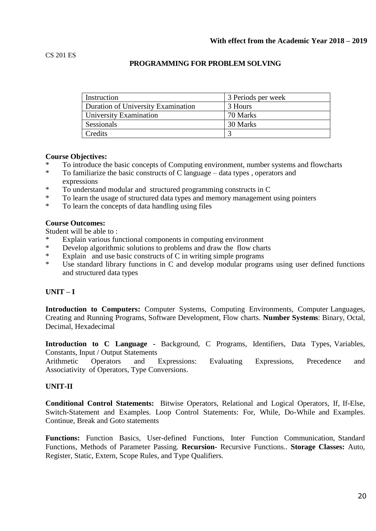### **PROGRAMMING FOR PROBLEM SOLVING**

| Instruction                        | 3 Periods per week |  |  |
|------------------------------------|--------------------|--|--|
| Duration of University Examination | 3 Hours            |  |  |
| University Examination             | 70 Marks           |  |  |
| Sessionals                         | 30 Marks           |  |  |
| Credits                            |                    |  |  |

### **Course Objectives:**

- \* To introduce the basic concepts of Computing environment, number systems and flowcharts<br>To familiarize the basic constructs of Clanguage data types, operators and
- To familiarize the basic constructs of C language data types, operators and expressions<br>  $*$  To understand
- \* To understand modular and structured programming constructs in C
- To learn the usage of structured data types and memory management using pointers
- \* To learn the concepts of data handling using files

#### **Course Outcomes:**

Student will be able to :

- \* Explain various functional components in computing environment
- Develop algorithmic solutions to problems and draw the flow charts
- \* Explain and use basic constructs of C in writing simple programs
- Use standard library functions in  $C$  and develop modular programs using user defined functions and structured data types

# **UNIT – I**

**Introduction to Computers:** Computer Systems, Computing Environments, Computer Languages, Creating and Running Programs, Software Development, Flow charts. **Number Systems**: Binary, Octal, Decimal, Hexadecimal

**Introduction to C Language -** Background, C Programs, Identifiers, Data Types, Variables, Constants, Input / Output Statements

Arithmetic Operators and Expressions: Evaluating Expressions, Precedence and Associativity of Operators, Type Conversions.

### **UNIT-II**

**Conditional Control Statements:** Bitwise Operators, Relational and Logical Operators, If, If-Else, Switch-Statement and Examples. Loop Control Statements: For, While, Do-While and Examples. Continue, Break and Goto statements

**Functions:** Function Basics, User-defined Functions, Inter Function Communication, Standard Functions, Methods of Parameter Passing. **Recursion-** Recursive Functions.. **Storage Classes:** Auto, Register, Static, Extern, Scope Rules, and Type Qualifiers.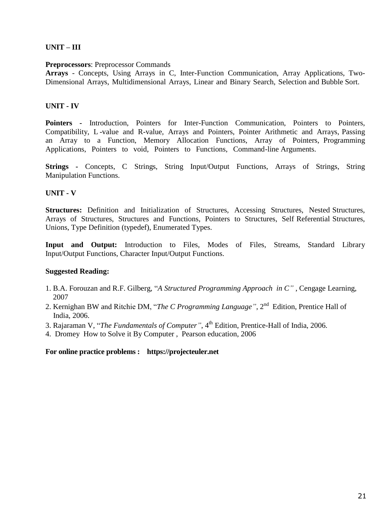# **UNIT – III**

### **Preprocessors**: Preprocessor Commands

**Arrays** - Concepts, Using Arrays in C, Inter-Function Communication, Array Applications, Two-Dimensional Arrays, Multidimensional Arrays, Linear and Binary Search, Selection and Bubble Sort.

# **UNIT - IV**

**Pointers -** Introduction, Pointers for Inter-Function Communication, Pointers to Pointers, Compatibility, L -value and R-value, Arrays and Pointers, Pointer Arithmetic and Arrays, Passing an Array to a Function, Memory Allocation Functions, Array of Pointers, Programming Applications, Pointers to void, Pointers to Functions, Command-line Arguments.

**Strings -** Concepts, C Strings, String Input/Output Functions, Arrays of Strings, String Manipulation Functions.

# **UNIT - V**

**Structures:** Definition and Initialization of Structures, Accessing Structures, Nested Structures, Arrays of Structures, Structures and Functions, Pointers to Structures, Self Referential Structures, Unions, Type Definition (typedef), Enumerated Types.

**Input and Output:** Introduction to Files, Modes of Files, Streams, Standard Library Input/Output Functions, Character Input/Output Functions.

# **Suggested Reading:**

- 1. B.A. Forouzan and R.F. Gilberg, "*A Structured Programming Approach in C"* , Cengage Learning, 2007
- 2. Kernighan BW and Ritchie DM, "*The C Programming Language"*, 2nd Edition, Prentice Hall of India, 2006.
- 3. Rajaraman V, "*The Fundamentals of Computer"*, 4th Edition, Prentice-Hall of India, 2006.
- 4. Dromey How to Solve it By Computer , Pearson education, 2006

**For online practice problems : https://projecteuler.net**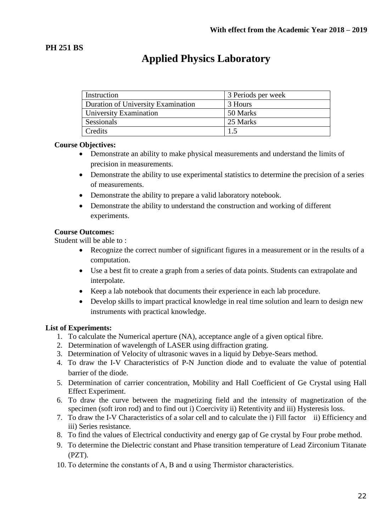# **PH 251 BS**

# **Applied Physics Laboratory**

| Instruction                        | 3 Periods per week |
|------------------------------------|--------------------|
| Duration of University Examination | 3 Hours            |
| University Examination             | 50 Marks           |
| Sessionals                         | 25 Marks           |
| Credits                            | 1.5                |

# **Course Objectives:**

- Demonstrate an ability to make physical measurements and understand the limits of precision in measurements.
- Demonstrate the ability to use experimental statistics to determine the precision of a series of measurements.
- Demonstrate the ability to prepare a valid laboratory notebook.
- Demonstrate the ability to understand the construction and working of different experiments.

# **Course Outcomes:**

Student will be able to :

- Recognize the correct number of significant figures in a measurement or in the results of a computation.
- Use a best fit to create a graph from a series of data points. Students can extrapolate and interpolate.
- Keep a lab notebook that documents their experience in each lab procedure.
- Develop skills to impart practical knowledge in real time solution and learn to design new instruments with practical knowledge.

# **List of Experiments:**

- 1. To calculate the Numerical aperture (NA), acceptance angle of a given optical fibre.
- 2. Determination of wavelength of LASER using diffraction grating.
- 3. Determination of Velocity of ultrasonic waves in a liquid by Debye-Sears method.
- 4. To draw the I-V Characteristics of P-N Junction diode and to evaluate the value of potential barrier of the diode.
- 5. Determination of carrier concentration, Mobility and Hall Coefficient of Ge Crystal using Hall Effect Experiment.
- 6. To draw the curve between the magnetizing field and the intensity of magnetization of the specimen (soft iron rod) and to find out i) Coercivity ii) Retentivity and iii) Hysteresis loss.
- 7. To draw the I-V Characteristics of a solar cell and to calculate the i) Fill factor ii) Efficiency and iii) Series resistance.
- 8. To find the values of Electrical conductivity and energy gap of Ge crystal by Four probe method.
- 9. To determine the Dielectric constant and Phase transition temperature of Lead Zirconium Titanate (PZT).
- 10. To determine the constants of A, B and α using Thermistor characteristics.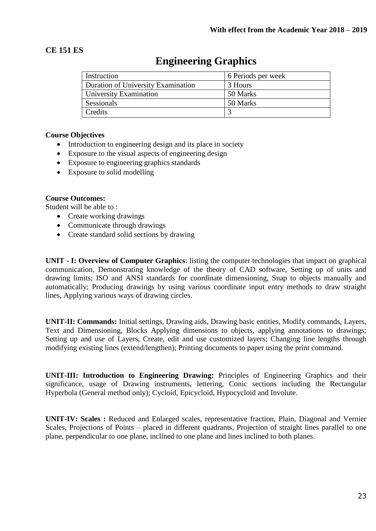# **CE 151 ES**

| Instruction                        | 6 Periods per week |
|------------------------------------|--------------------|
| Duration of University Examination | 3 Hours            |
| University Examination             | 50 Marks           |
| Sessionals                         | 50 Marks           |
| Credits                            |                    |

# **Engineering Graphics**

# **Course Objectives**

- Introduction to engineering design and its place in society
- Exposure to the visual aspects of engineering design
- Exposure to engineering graphics standards
- Exposure to solid modelling

### **Course Outcomes:**

Student will be able to :

- Create working drawings
- Communicate through drawings
- Create standard solid sections by drawing

**UNIT - I: Overview of Computer Graphics**: listing the computer technologies that impact on graphical communication, Demonstrating knowledge of the theory of CAD software, Setting up of units and drawing limits; ISO and ANSI standards for coordinate dimensioning, Snap to objects manually and automatically; Producing drawings by using various coordinate input entry methods to draw straight lines, Applying various ways of drawing circles.

**UNIT-II: Commands:** Initial settings, Drawing aids, Drawing basic entities, Modify commands, Layers, Text and Dimensioning, Blocks Applying dimensions to objects, applying annotations to drawings; Setting up and use of Layers, Create, edit and use customized layers; Changing line lengths through modifying existing lines (extend/lengthen); Printing documents to paper using the print command.

**UNIT-III: Introduction to Engineering Drawing:** Principles of Engineering Graphics and their significance, usage of Drawing instruments, lettering, Conic sections including the Rectangular Hyperbola (General method only); Cycloid, Epicycloid, Hypocycloid and Involute.

**UNIT-IV: Scales :** Reduced and Enlarged scales, representative fraction, Plain, Diagonal and Vernier Scales, Projections of Points – placed in different quadrants, Projection of straight lines parallel to one plane, perpendicular to one plane, inclined to one plane and lines inclined to both planes.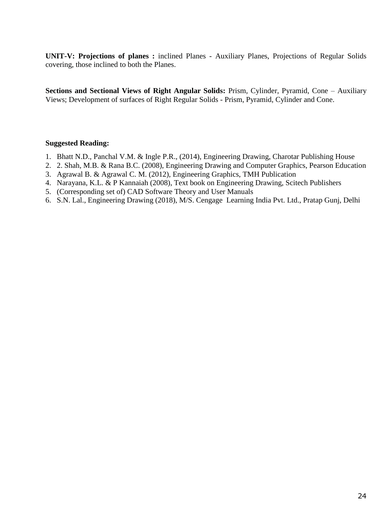**UNIT-V: Projections of planes :** inclined Planes - Auxiliary Planes, Projections of Regular Solids covering, those inclined to both the Planes.

**Sections and Sectional Views of Right Angular Solids:** Prism, Cylinder, Pyramid, Cone – Auxiliary Views; Development of surfaces of Right Regular Solids - Prism, Pyramid, Cylinder and Cone.

- 1. Bhatt N.D., Panchal V.M. & Ingle P.R., (2014), Engineering Drawing, Charotar Publishing House
- 2. 2. Shah, M.B. & Rana B.C. (2008), Engineering Drawing and Computer Graphics, Pearson Education
- 3. Agrawal B. & Agrawal C. M. (2012), Engineering Graphics, TMH Publication
- 4. Narayana, K.L. & P Kannaiah (2008), Text book on Engineering Drawing, Scitech Publishers
- 5. (Corresponding set of) CAD Software Theory and User Manuals
- 6. S.N. Lal., Engineering Drawing (2018), M/S. Cengage Learning India Pvt. Ltd., Pratap Gunj, Delhi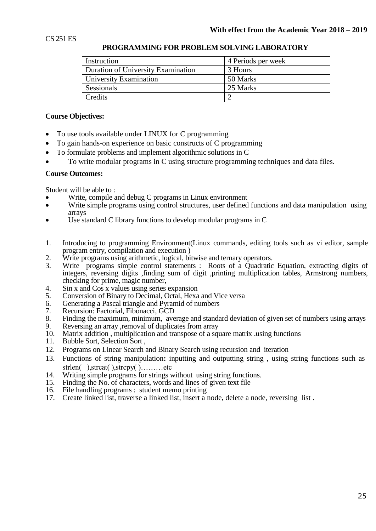| Instruction                        | 4 Periods per week |
|------------------------------------|--------------------|
| Duration of University Examination | 3 Hours            |
| University Examination             | 50 Marks           |
| Sessionals                         | 25 Marks           |
| Credits                            |                    |

### **PROGRAMMING FOR PROBLEM SOLVING LABORATORY**

### **Course Objectives:**

- To use tools available under LINUX for C programming
- To gain hands-on experience on basic constructs of C programming
- To formulate problems and implement algorithmic solutions in C
- To write modular programs in C using structure programming techniques and data files.

### **Course Outcomes:**

Student will be able to :

- Write, compile and debug C programs in Linux environment
- Write simple programs using control structures, user defined functions and data manipulation using arrays
- Use standard C library functions to develop modular programs in C
- 1. Introducing to programming Environment(Linux commands, editing tools such as vi editor, sample program entry, compilation and execution )
- 2. Write programs using arithmetic, logical, bitwise and ternary operators.<br>3. Write programs simple control statements : Roots of a Quadratic
- 3. Write programs simple control statements : Roots of a Quadratic Equation, extracting digits of integers, reversing digits ,finding sum of digit ,printing multiplication tables, Armstrong numbers, checking for prime, magic number,
- 4. Sin x and Cos x values using series expansion<br>5. Conversion of Binary to Decimal, Octal, Hexa
- 5. Conversion of Binary to Decimal, Octal, Hexa and Vice versa<br>6. Generating a Pascal triangle and Pyramid of numbers
- 6. Generating a Pascal triangle and Pyramid of numbers
- 7. Recursion: Factorial, Fibonacci, GCD
- 8. Finding the maximum, minimum, average and standard deviation of given set of numbers using arrays
- 9. Reversing an array , removal of duplicates from array
- 10. Matrix addition , multiplication and transpose of a square matrix .using functions
- 11. Bubble Sort, Selection Sort ,
- 12. Programs on Linear Search and Binary Search using recursion and iteration
- 13. Functions of string manipulation**:** inputting and outputting string , using string functions such as strlen( ), strcat( ), strcpy( )………etc
- 14. Writing simple programs for strings without using string functions.<br>15. Finding the No. of characters, words and lines of given text file
- 15. Finding the No. of characters, words and lines of given text file<br>16. File handling programs : student memo printing
- File handling programs : student memo printing
- 17. Create linked list, traverse a linked list, insert a node, delete a node, reversing list .